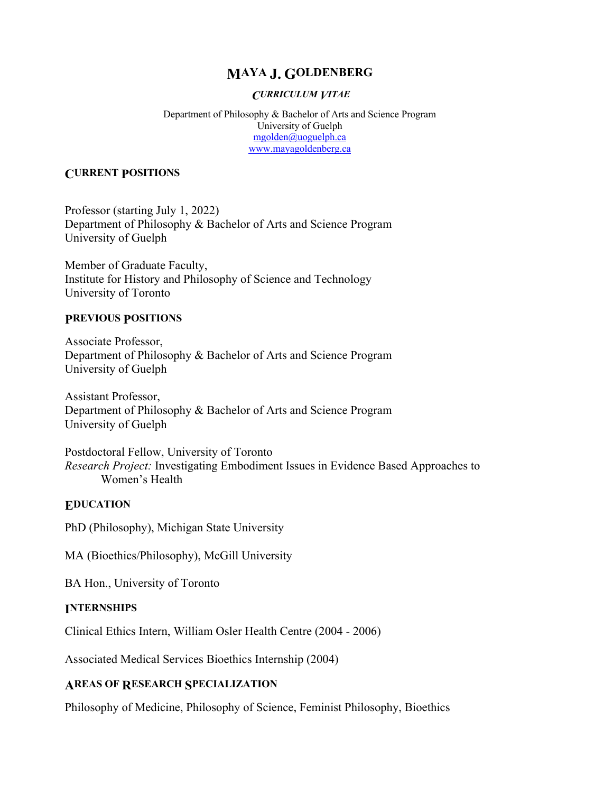# **MAYA J. GOLDENBERG**

#### *CURRICULUM VITAE*

Department of Philosophy & Bachelor of Arts and Science Program University of Guelph mgolden@uoguelph.ca www.mayagoldenberg.ca

### **CURRENT POSITIONS**

Professor (starting July 1, 2022) Department of Philosophy & Bachelor of Arts and Science Program University of Guelph

Member of Graduate Faculty, Institute for History and Philosophy of Science and Technology University of Toronto

#### **PREVIOUS POSITIONS**

Associate Professor, Department of Philosophy & Bachelor of Arts and Science Program University of Guelph

Assistant Professor, Department of Philosophy & Bachelor of Arts and Science Program University of Guelph

Postdoctoral Fellow, University of Toronto *Research Project:* Investigating Embodiment Issues in Evidence Based Approaches to Women's Health

### **EDUCATION**

PhD (Philosophy), Michigan State University

MA (Bioethics/Philosophy), McGill University

BA Hon., University of Toronto

### **INTERNSHIPS**

Clinical Ethics Intern, William Osler Health Centre (2004 - 2006)

Associated Medical Services Bioethics Internship (2004)

### **AREAS OF RESEARCH SPECIALIZATION**

Philosophy of Medicine, Philosophy of Science, Feminist Philosophy, Bioethics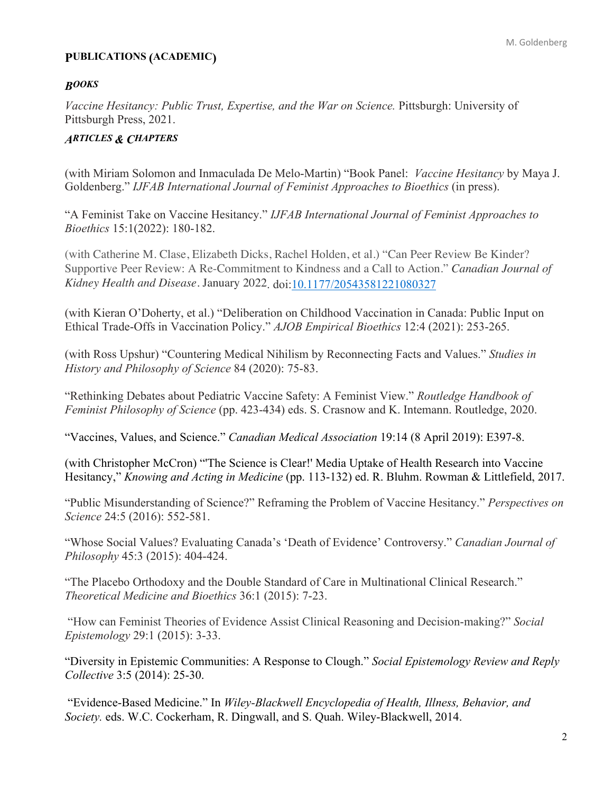### **PUBLICATIONS (ACADEMIC)**

### *BOOKS*

*Vaccine Hesitancy: Public Trust, Expertise, and the War on Science.* Pittsburgh: University of Pittsburgh Press, 2021.

### *ARTICLES & CHAPTERS*

(with Miriam Solomon and Inmaculada De Melo-Martin) "Book Panel: *Vaccine Hesitancy* by Maya J. Goldenberg." *IJFAB International Journal of Feminist Approaches to Bioethics* (in press).

"A Feminist Take on Vaccine Hesitancy." *IJFAB International Journal of Feminist Approaches to Bioethics* 15:1(2022): 180-182.

(with Catherine M. Clase, Elizabeth Dicks, Rachel Holden, et al.) "Can Peer Review Be Kinder? Supportive Peer Review: A Re-Commitment to Kindness and a Call to Action." *Canadian Journal of Kidney Health and Disease*. January 2022. doi:10.1177/20543581221080327

(with Kieran O'Doherty, et al.) "Deliberation on Childhood Vaccination in Canada: Public Input on Ethical Trade-Offs in Vaccination Policy." *AJOB Empirical Bioethics* 12:4 (2021): 253-265.

(with Ross Upshur) "Countering Medical Nihilism by Reconnecting Facts and Values." *Studies in History and Philosophy of Science* 84 (2020): 75-83.

"Rethinking Debates about Pediatric Vaccine Safety: A Feminist View." *Routledge Handbook of Feminist Philosophy of Science* (pp. 423-434) eds. S. Crasnow and K. Intemann. Routledge, 2020.

"Vaccines, Values, and Science." *Canadian Medical Association* 19:14 (8 April 2019): E397-8.

(with Christopher McCron) "'The Science is Clear!' Media Uptake of Health Research into Vaccine Hesitancy," *Knowing and Acting in Medicine* (pp. 113-132) ed. R. Bluhm. Rowman & Littlefield, 2017.

"Public Misunderstanding of Science?" Reframing the Problem of Vaccine Hesitancy." *Perspectives on Science* 24:5 (2016): 552-581.

"Whose Social Values? Evaluating Canada's 'Death of Evidence' Controversy." *Canadian Journal of Philosophy* 45:3 (2015): 404-424.

"The Placebo Orthodoxy and the Double Standard of Care in Multinational Clinical Research." *Theoretical Medicine and Bioethics* 36:1 (2015): 7-23.

"How can Feminist Theories of Evidence Assist Clinical Reasoning and Decision-making?" *Social Epistemology* 29:1 (2015): 3-33.

"Diversity in Epistemic Communities: A Response to Clough." *Social Epistemology Review and Reply Collective* 3:5 (2014): 25-30.

"Evidence-Based Medicine." In *Wiley-Blackwell Encyclopedia of Health, Illness, Behavior, and Society.* eds. W.C. Cockerham, R. Dingwall, and S. Quah. Wiley-Blackwell, 2014.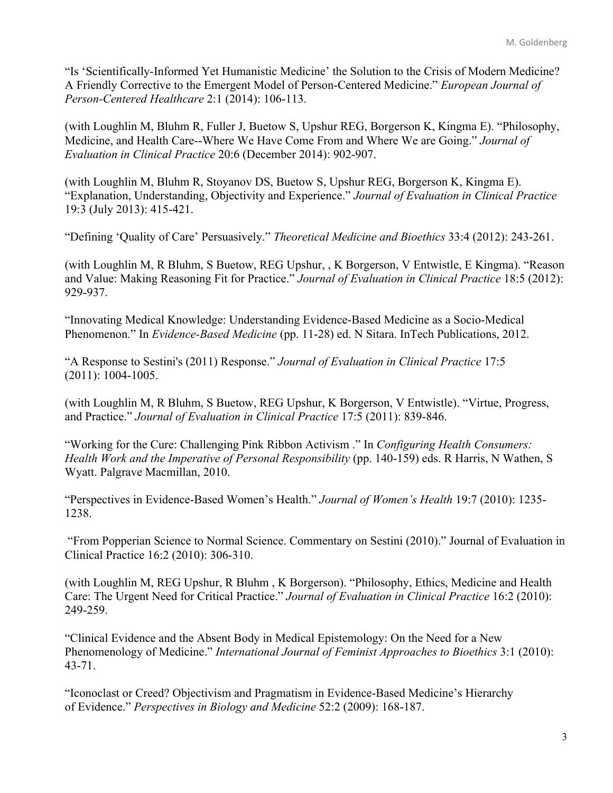"Is 'Scientifically-Informed Yet Humanistic Medicine' the Solution to the Crisis of Modern Medicine? A Friendly Corrective to the Emergent Model of Person-Centered Medicine." *European Journal of Person-Centered Healthcare* 2:1 (2014): 106-113.

(with Loughlin M, Bluhm R, Fuller J, Buetow S, Upshur REG, Borgerson K, Kingma E). "Philosophy, Medicine, and Health Care--Where We Have Come From and Where We are Going." *Journal of Evaluation in Clinical Practice* 20:6 (December 2014): 902-907.

(with Loughlin M, Bluhm R, Stoyanov DS, Buetow S, Upshur REG, Borgerson K, Kingma E). "Explanation, Understanding, Objectivity and Experience." *Journal of Evaluation in Clinical Practice*  19:3 (July 2013): 415-421.

"Defining 'Quality of Care' Persuasively." *Theoretical Medicine and Bioethics* 33:4 (2012): 243-261.

(with Loughlin M, R Bluhm, S Buetow, REG Upshur, , K Borgerson, V Entwistle, E Kingma). "Reason and Value: Making Reasoning Fit for Practice." *Journal of Evaluation in Clinical Practice* 18:5 (2012): 929-937.

"Innovating Medical Knowledge: Understanding Evidence-Based Medicine as a Socio-Medical Phenomenon." In *Evidence-Based Medicine* (pp. 11-28) ed. N Sitara. InTech Publications, 2012.

"A Response to Sestini's (2011) Response." *Journal of Evaluation in Clinical Practice* 17:5 (2011): 1004-1005.

(with Loughlin M, R Bluhm, S Buetow, REG Upshur, K Borgerson, V Entwistle). "Virtue, Progress, and Practice." *Journal of Evaluation in Clinical Practice* 17:5 (2011): 839-846.

"Working for the Cure: Challenging Pink Ribbon Activism ." In *Configuring Health Consumers: Health Work and the Imperative of Personal Responsibility* (pp. 140-159) eds. R Harris, N Wathen, S Wyatt. Palgrave Macmillan, 2010.

"Perspectives in Evidence-Based Women's Health." *Journal of Women's Health* 19:7 (2010): 1235- 1238.

"From Popperian Science to Normal Science. Commentary on Sestini (2010)." Journal of Evaluation in Clinical Practice 16:2 (2010): 306-310.

(with Loughlin M, REG Upshur, R Bluhm , K Borgerson). "Philosophy, Ethics, Medicine and Health Care: The Urgent Need for Critical Practice." *Journal of Evaluation in Clinical Practice* 16:2 (2010): 249-259.

"Clinical Evidence and the Absent Body in Medical Epistemology: On the Need for a New Phenomenology of Medicine." *International Journal of Feminist Approaches to Bioethics* 3:1 (2010): 43-71.

"Iconoclast or Creed? Objectivism and Pragmatism in Evidence-Based Medicine's Hierarchy of Evidence." *Perspectives in Biology and Medicine* 52:2 (2009): 168-187.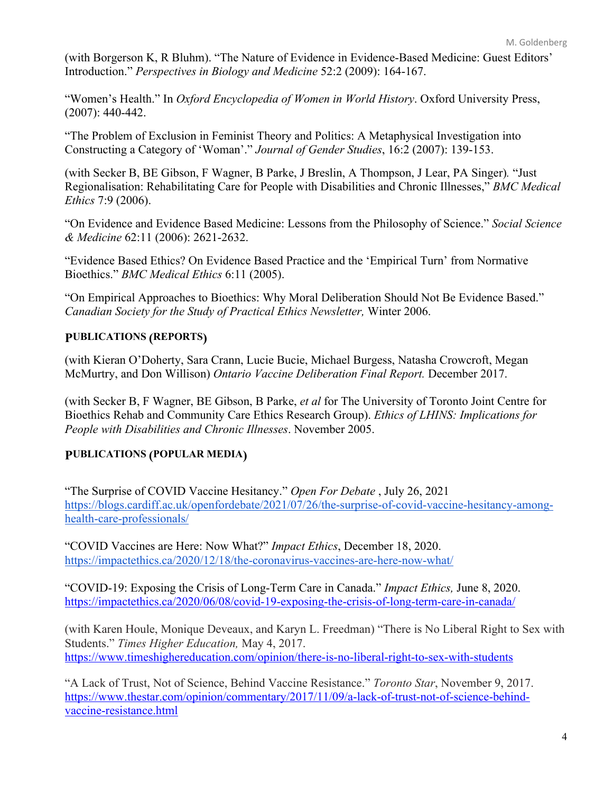(with Borgerson K, R Bluhm). "The Nature of Evidence in Evidence-Based Medicine: Guest Editors' Introduction." *Perspectives in Biology and Medicine* 52:2 (2009): 164-167.

"Women's Health." In *Oxford Encyclopedia of Women in World History*. Oxford University Press, (2007): 440-442.

"The Problem of Exclusion in Feminist Theory and Politics: A Metaphysical Investigation into Constructing a Category of 'Woman'." *Journal of Gender Studies*, 16:2 (2007): 139-153.

(with Secker B, BE Gibson, F Wagner, B Parke, J Breslin, A Thompson, J Lear, PA Singer)*.* "Just Regionalisation: Rehabilitating Care for People with Disabilities and Chronic Illnesses," *BMC Medical Ethics* 7:9 (2006).

"On Evidence and Evidence Based Medicine: Lessons from the Philosophy of Science." *Social Science & Medicine* 62:11 (2006): 2621-2632.

"Evidence Based Ethics? On Evidence Based Practice and the 'Empirical Turn' from Normative Bioethics." *BMC Medical Ethics* 6:11 (2005).

"On Empirical Approaches to Bioethics: Why Moral Deliberation Should Not Be Evidence Based." *Canadian Society for the Study of Practical Ethics Newsletter,* Winter 2006.

# **PUBLICATIONS (REPORTS)**

(with Kieran O'Doherty, Sara Crann, Lucie Bucie, Michael Burgess, Natasha Crowcroft, Megan McMurtry, and Don Willison) *Ontario Vaccine Deliberation Final Report.* December 2017.

(with Secker B, F Wagner, BE Gibson, B Parke, *et al* for The University of Toronto Joint Centre for Bioethics Rehab and Community Care Ethics Research Group). *Ethics of LHINS: Implications for People with Disabilities and Chronic Illnesses*. November 2005.

# **PUBLICATIONS (POPULAR MEDIA)**

"The Surprise of COVID Vaccine Hesitancy." *Open For Debate* , July 26, 2021 https://blogs.cardiff.ac.uk/openfordebate/2021/07/26/the-surprise-of-covid-vaccine-hesitancy-amonghealth-care-professionals/

"COVID Vaccines are Here: Now What?" *Impact Ethics*, December 18, 2020. https://impactethics.ca/2020/12/18/the-coronavirus-vaccines-are-here-now-what/

"COVID-19: Exposing the Crisis of Long-Term Care in Canada." *Impact Ethics,* June 8, 2020. https://impactethics.ca/2020/06/08/covid-19-exposing-the-crisis-of-long-term-care-in-canada/

(with Karen Houle, Monique Deveaux, and Karyn L. Freedman) "There is No Liberal Right to Sex with Students." *Times Higher Education,* May 4, 2017. https://www.timeshighereducation.com/opinion/there-is-no-liberal-right-to-sex-with-students

"A Lack of Trust, Not of Science, Behind Vaccine Resistance." *Toronto Star*, November 9, 2017. https://www.thestar.com/opinion/commentary/2017/11/09/a-lack-of-trust-not-of-science-behindvaccine-resistance.html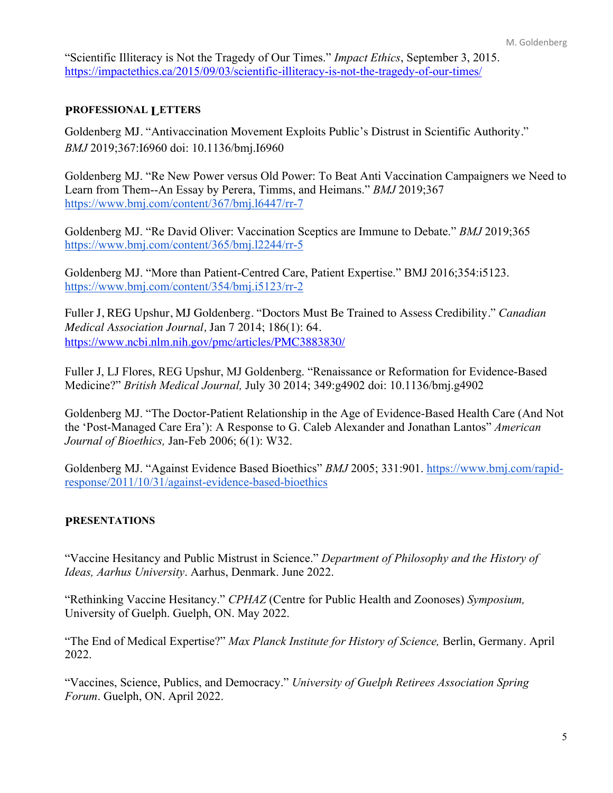"Scientific Illiteracy is Not the Tragedy of Our Times." *Impact Ethics*, September 3, 2015. https://impactethics.ca/2015/09/03/scientific-illiteracy-is-not-the-tragedy-of-our-times/

### **PROFESSIONAL LETTERS**

Goldenberg MJ. "Antivaccination Movement Exploits Public's Distrust in Scientific Authority." *BMJ* 2019;367:I6960 doi: 10.1136/bmj.I6960

Goldenberg MJ. "Re New Power versus Old Power: To Beat Anti Vaccination Campaigners we Need to Learn from Them--An Essay by Perera, Timms, and Heimans." *BMJ* 2019;367 https://www.bmj.com/content/367/bmj.l6447/rr-7

Goldenberg MJ. "Re David Oliver: Vaccination Sceptics are Immune to Debate." *BMJ* 2019;365 https://www.bmj.com/content/365/bmj.l2244/rr-5

Goldenberg MJ. "More than Patient-Centred Care, Patient Expertise." BMJ 2016;354:i5123. https://www.bmj.com/content/354/bmj.i5123/rr-2

Fuller J, REG Upshur, MJ Goldenberg. "Doctors Must Be Trained to Assess Credibility." *Canadian Medical Association Journal,* Jan 7 2014; 186(1): 64. https://www.ncbi.nlm.nih.gov/pmc/articles/PMC3883830/

Fuller J, LJ Flores, REG Upshur, MJ Goldenberg. "Renaissance or Reformation for Evidence-Based Medicine?" *British Medical Journal,* July 30 2014; 349:g4902 doi: 10.1136/bmj.g4902

Goldenberg MJ. "The Doctor-Patient Relationship in the Age of Evidence-Based Health Care (And Not the 'Post-Managed Care Era'): A Response to G. Caleb Alexander and Jonathan Lantos" *American Journal of Bioethics,* Jan-Feb 2006; 6(1): W32.

Goldenberg MJ. "Against Evidence Based Bioethics" *BMJ* 2005; 331:901. https://www.bmj.com/rapidresponse/2011/10/31/against-evidence-based-bioethics

## **PRESENTATIONS**

"Vaccine Hesitancy and Public Mistrust in Science." *Department of Philosophy and the History of Ideas, Aarhus University*. Aarhus, Denmark. June 2022.

"Rethinking Vaccine Hesitancy." *CPHAZ* (Centre for Public Health and Zoonoses) *Symposium,*  University of Guelph. Guelph, ON. May 2022.

"The End of Medical Expertise?" *Max Planck Institute for History of Science,* Berlin, Germany. April 2022.

"Vaccines, Science, Publics, and Democracy." *University of Guelph Retirees Association Spring Forum*. Guelph, ON. April 2022.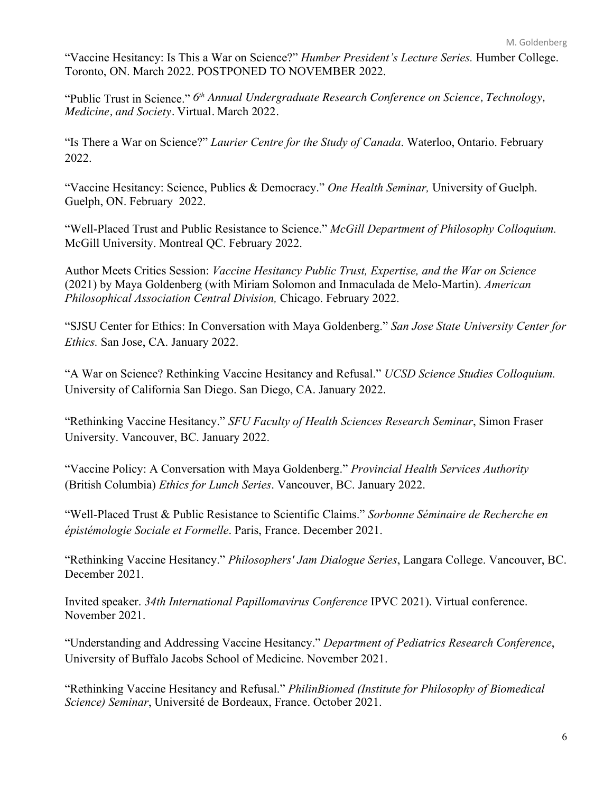"Vaccine Hesitancy: Is This a War on Science?" *Humber President's Lecture Series.* Humber College. Toronto, ON. March 2022. POSTPONED TO NOVEMBER 2022.

"Public Trust in Science." *6th Annual Undergraduate Research Conference on Science, Technology, Medicine, and Society.* Virtual. March 2022.

"Is There a War on Science?" *Laurier Centre for the Study of Canada*. Waterloo, Ontario. February 2022.

"Vaccine Hesitancy: Science, Publics & Democracy." *One Health Seminar,* University of Guelph. Guelph, ON. February 2022.

"Well-Placed Trust and Public Resistance to Science." *McGill Department of Philosophy Colloquium.*  McGill University. Montreal QC. February 2022.

Author Meets Critics Session: *Vaccine Hesitancy Public Trust, Expertise, and the War on Science*  (2021) by Maya Goldenberg (with Miriam Solomon and Inmaculada de Melo-Martin). *American Philosophical Association Central Division,* Chicago. February 2022.

"SJSU Center for Ethics: In Conversation with Maya Goldenberg." *San Jose State University Center for Ethics.* San Jose, CA. January 2022.

"A War on Science? Rethinking Vaccine Hesitancy and Refusal." *UCSD Science Studies Colloquium.*  University of California San Diego. San Diego, CA. January 2022.

"Rethinking Vaccine Hesitancy." *SFU Faculty of Health Sciences Research Seminar*, Simon Fraser University. Vancouver, BC. January 2022.

"Vaccine Policy: A Conversation with Maya Goldenberg." *Provincial Health Services Authority* (British Columbia) *Ethics for Lunch Series*. Vancouver, BC. January 2022.

"Well-Placed Trust & Public Resistance to Scientific Claims." *Sorbonne Séminaire de Recherche en épistémologie Sociale et Formelle*. Paris, France. December 2021.

"Rethinking Vaccine Hesitancy." *Philosophers' Jam Dialogue Series*, Langara College. Vancouver, BC. December 2021.

Invited speaker. *34th International Papillomavirus Conference* IPVC 2021). Virtual conference. November 2021.

"Understanding and Addressing Vaccine Hesitancy." *Department of Pediatrics Research Conference*, University of Buffalo Jacobs School of Medicine. November 2021.

"Rethinking Vaccine Hesitancy and Refusal." *PhilinBiomed (Institute for Philosophy of Biomedical Science) Seminar*, Université de Bordeaux, France. October 2021.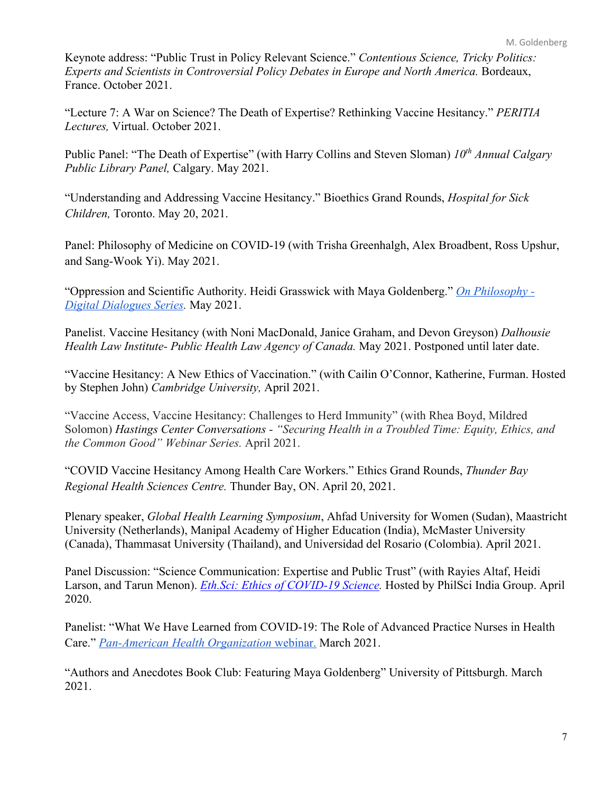Keynote address: "Public Trust in Policy Relevant Science." *Contentious Science, Tricky Politics: Experts and Scientists in Controversial Policy Debates in Europe and North America.* Bordeaux, France. October 2021.

"Lecture 7: A War on Science? The Death of Expertise? Rethinking Vaccine Hesitancy." *PERITIA Lectures,* Virtual. October 2021.

Public Panel: "The Death of Expertise" (with Harry Collins and Steven Sloman) *10th Annual Calgary Public Library Panel,* Calgary. May 2021.

"Understanding and Addressing Vaccine Hesitancy." Bioethics Grand Rounds, *Hospital for Sick Children,* Toronto. May 20, 2021.

Panel: Philosophy of Medicine on COVID-19 (with Trisha Greenhalgh, Alex Broadbent, Ross Upshur, and Sang-Wook Yi). May 2021.

"Oppression and Scientific Authority. Heidi Grasswick with Maya Goldenberg." *On Philosophy - Digital Dialogues Series.* May 2021.

Panelist. Vaccine Hesitancy (with Noni MacDonald, Janice Graham, and Devon Greyson) *Dalhousie Health Law Institute- Public Health Law Agency of Canada.* May 2021. Postponed until later date.

"Vaccine Hesitancy: A New Ethics of Vaccination." (with Cailin O'Connor, Katherine, Furman. Hosted by Stephen John) *Cambridge University,* April 2021.

"Vaccine Access, Vaccine Hesitancy: Challenges to Herd Immunity" (with Rhea Boyd, Mildred Solomon) *Hastings Center Conversations - "Securing Health in a Troubled Time: Equity, Ethics, and the Common Good" Webinar Series.* April 2021.

"COVID Vaccine Hesitancy Among Health Care Workers." Ethics Grand Rounds, *Thunder Bay Regional Health Sciences Centre.* Thunder Bay, ON. April 20, 2021.

Plenary speaker, *Global Health Learning Symposium*, Ahfad University for Women (Sudan), Maastricht University (Netherlands), Manipal Academy of Higher Education (India), McMaster University (Canada), Thammasat University (Thailand), and Universidad del Rosario (Colombia). April 2021.

Panel Discussion: "Science Communication: Expertise and Public Trust" (with Rayies Altaf, Heidi Larson, and Tarun Menon). *Eth.Sci: Ethics of COVID-19 Science.* Hosted by PhilSci India Group. April 2020.

Panelist: "What We Have Learned from COVID-19: The Role of Advanced Practice Nurses in Health Care." *Pan-American Health Organization* webinar. March 2021.

"Authors and Anecdotes Book Club: Featuring Maya Goldenberg" University of Pittsburgh. March 2021.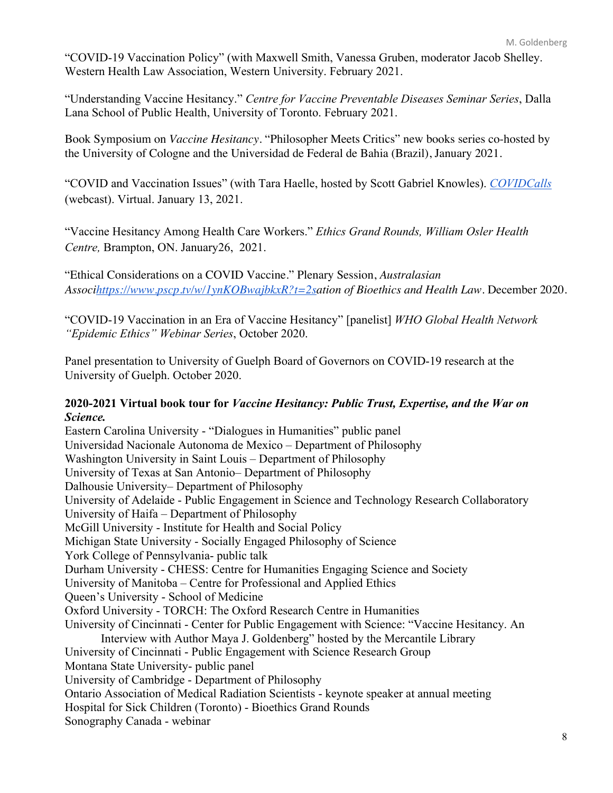"COVID-19 Vaccination Policy" (with Maxwell Smith, Vanessa Gruben, moderator Jacob Shelley. Western Health Law Association, Western University. February 2021.

"Understanding Vaccine Hesitancy." *Centre for Vaccine Preventable Diseases Seminar Series*, Dalla Lana School of Public Health, University of Toronto. February 2021.

Book Symposium on *Vaccine Hesitancy.* "Philosopher Meets Critics" new books series co-hosted by the University of Cologne and the Universidad de Federal de Bahia (Brazil), January 2021.

"COVID and Vaccination Issues" (with Tara Haelle, hosted by Scott Gabriel Knowles). *COVIDCalls* (webcast). Virtual. January 13, 2021.

"Vaccine Hesitancy Among Health Care Workers." *Ethics Grand Rounds, William Osler Health Centre,* Brampton, ON. January26, 2021.

"Ethical Considerations on a COVID Vaccine." Plenary Session, *Australasian Associhttps://www.pscp.tv/w/1ynKOBwajbkxR?t=2sation of Bioethics and Health Law*. December 2020.

"COVID-19 Vaccination in an Era of Vaccine Hesitancy" [panelist] *WHO Global Health Network "Epidemic Ethics" Webinar Series*, October 2020.

Panel presentation to University of Guelph Board of Governors on COVID-19 research at the University of Guelph. October 2020.

## **2020-2021 Virtual book tour for** *Vaccine Hesitancy: Public Trust, Expertise, and the War on Science.*

Eastern Carolina University - "Dialogues in Humanities" public panel Universidad Nacionale Autonoma de Mexico – Department of Philosophy Washington University in Saint Louis – Department of Philosophy University of Texas at San Antonio– Department of Philosophy Dalhousie University– Department of Philosophy University of Adelaide - Public Engagement in Science and Technology Research Collaboratory University of Haifa – Department of Philosophy McGill University - Institute for Health and Social Policy Michigan State University - Socially Engaged Philosophy of Science York College of Pennsylvania- public talk Durham University - CHESS: Centre for Humanities Engaging Science and Society University of Manitoba – Centre for Professional and Applied Ethics Queen's University - School of Medicine Oxford University - TORCH: The Oxford Research Centre in Humanities University of Cincinnati - Center for Public Engagement with Science: "Vaccine Hesitancy. An Interview with Author Maya J. Goldenberg" hosted by the Mercantile Library University of Cincinnati - Public Engagement with Science Research Group Montana State University- public panel University of Cambridge - Department of Philosophy Ontario Association of Medical Radiation Scientists - keynote speaker at annual meeting Hospital for Sick Children (Toronto) - Bioethics Grand Rounds Sonography Canada - webinar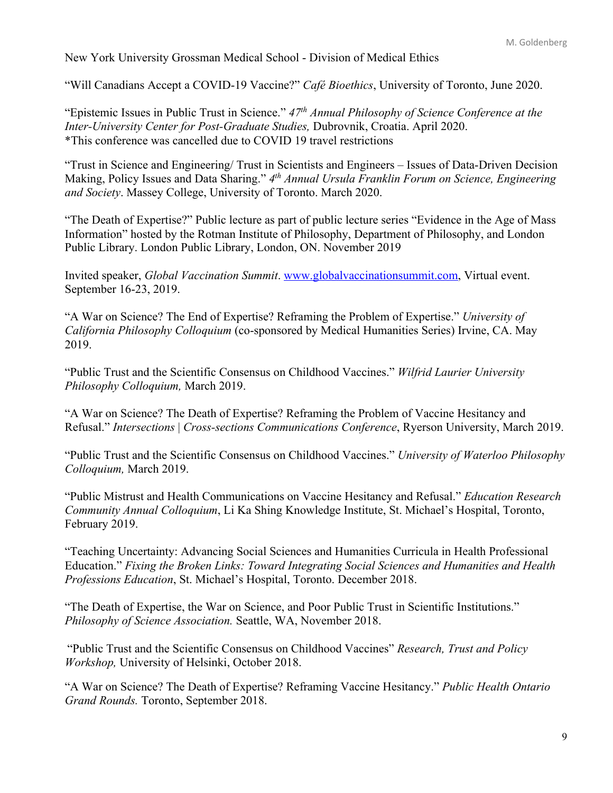New York University Grossman Medical School - Division of Medical Ethics

"Will Canadians Accept a COVID-19 Vaccine?" *Café Bioethics*, University of Toronto, June 2020.

"Epistemic Issues in Public Trust in Science." *47th Annual Philosophy of Science Conference at the Inter-University Center for Post-Graduate Studies,* Dubrovnik, Croatia. April 2020. \*This conference was cancelled due to COVID 19 travel restrictions

"Trust in Science and Engineering/ Trust in Scientists and Engineers – Issues of Data-Driven Decision Making, Policy Issues and Data Sharing." *4th Annual Ursula Franklin Forum on Science, Engineering and Society*. Massey College, University of Toronto. March 2020.

"The Death of Expertise?" Public lecture as part of public lecture series "Evidence in the Age of Mass Information" hosted by the Rotman Institute of Philosophy, Department of Philosophy, and London Public Library. London Public Library, London, ON. November 2019

Invited speaker, *Global Vaccination Summit*. www.globalvaccinationsummit.com, Virtual event. September 16-23, 2019.

"A War on Science? The End of Expertise? Reframing the Problem of Expertise." *University of California Philosophy Colloquium* (co-sponsored by Medical Humanities Series) Irvine, CA. May 2019.

"Public Trust and the Scientific Consensus on Childhood Vaccines." *Wilfrid Laurier University Philosophy Colloquium,* March 2019.

"A War on Science? The Death of Expertise? Reframing the Problem of Vaccine Hesitancy and Refusal." *Intersections* | *Cross-sections Communications Conference*, Ryerson University, March 2019.

"Public Trust and the Scientific Consensus on Childhood Vaccines." *University of Waterloo Philosophy Colloquium,* March 2019.

"Public Mistrust and Health Communications on Vaccine Hesitancy and Refusal." *Education Research Community Annual Colloquium*, Li Ka Shing Knowledge Institute, St. Michael's Hospital, Toronto, February 2019.

"Teaching Uncertainty: Advancing Social Sciences and Humanities Curricula in Health Professional Education." *Fixing the Broken Links: Toward Integrating Social Sciences and Humanities and Health Professions Education*, St. Michael's Hospital, Toronto. December 2018.

"The Death of Expertise, the War on Science, and Poor Public Trust in Scientific Institutions." *Philosophy of Science Association.* Seattle, WA, November 2018.

"Public Trust and the Scientific Consensus on Childhood Vaccines" *Research, Trust and Policy Workshop,* University of Helsinki, October 2018.

"A War on Science? The Death of Expertise? Reframing Vaccine Hesitancy." *Public Health Ontario Grand Rounds.* Toronto, September 2018.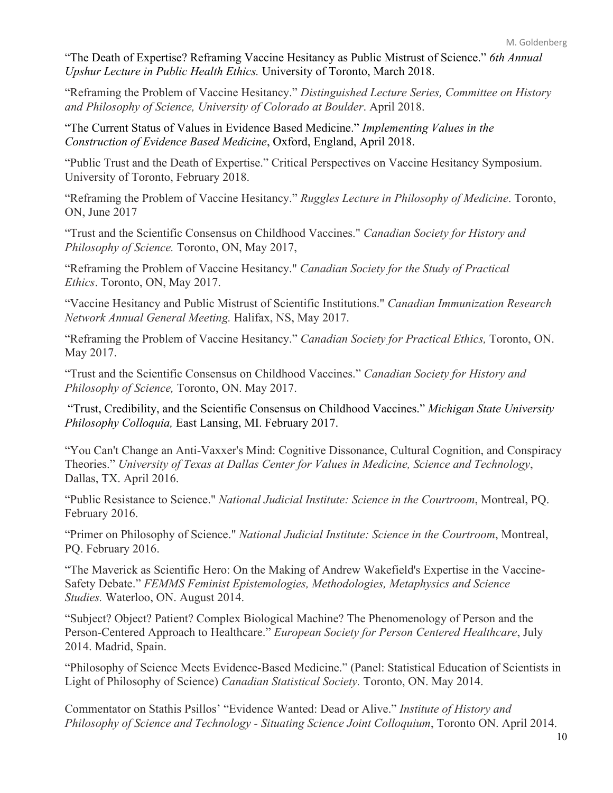"The Death of Expertise? Reframing Vaccine Hesitancy as Public Mistrust of Science." *6th Annual Upshur Lecture in Public Health Ethics.* University of Toronto, March 2018.

"Reframing the Problem of Vaccine Hesitancy." *Distinguished Lecture Series, Committee on History and Philosophy of Science, University of Colorado at Boulder*. April 2018.

"The Current Status of Values in Evidence Based Medicine." *Implementing Values in the Construction of Evidence Based Medicine*, Oxford, England, April 2018.

"Public Trust and the Death of Expertise." Critical Perspectives on Vaccine Hesitancy Symposium. University of Toronto, February 2018.

"Reframing the Problem of Vaccine Hesitancy." *Ruggles Lecture in Philosophy of Medicine*. Toronto, ON, June 2017

"Trust and the Scientific Consensus on Childhood Vaccines." *Canadian Society for History and Philosophy of Science.* Toronto, ON, May 2017,

"Reframing the Problem of Vaccine Hesitancy." *Canadian Society for the Study of Practical Ethics*. Toronto, ON, May 2017.

"Vaccine Hesitancy and Public Mistrust of Scientific Institutions." *Canadian Immunization Research Network Annual General Meeting.* Halifax, NS, May 2017.

"Reframing the Problem of Vaccine Hesitancy." *Canadian Society for Practical Ethics,* Toronto, ON. May 2017.

"Trust and the Scientific Consensus on Childhood Vaccines." *Canadian Society for History and Philosophy of Science,* Toronto, ON. May 2017.

"Trust, Credibility, and the Scientific Consensus on Childhood Vaccines." *Michigan State University Philosophy Colloquia,* East Lansing, MI. February 2017.

"You Can't Change an Anti-Vaxxer's Mind: Cognitive Dissonance, Cultural Cognition, and Conspiracy Theories." *University of Texas at Dallas Center for Values in Medicine, Science and Technology*, Dallas, TX. April 2016.

"Public Resistance to Science." *National Judicial Institute: Science in the Courtroom*, Montreal, PQ. February 2016.

"Primer on Philosophy of Science." *National Judicial Institute: Science in the Courtroom*, Montreal, PQ. February 2016.

"The Maverick as Scientific Hero: On the Making of Andrew Wakefield's Expertise in the Vaccine-Safety Debate." *FEMMS Feminist Epistemologies, Methodologies, Metaphysics and Science Studies.* Waterloo, ON. August 2014.

"Subject? Object? Patient? Complex Biological Machine? The Phenomenology of Person and the Person-Centered Approach to Healthcare." *European Society for Person Centered Healthcare*, July 2014. Madrid, Spain.

"Philosophy of Science Meets Evidence-Based Medicine." (Panel: Statistical Education of Scientists in Light of Philosophy of Science) *Canadian Statistical Society.* Toronto, ON. May 2014.

Commentator on Stathis Psillos' "Evidence Wanted: Dead or Alive." *Institute of History and Philosophy of Science and Technology - Situating Science Joint Colloquium*, Toronto ON. April 2014.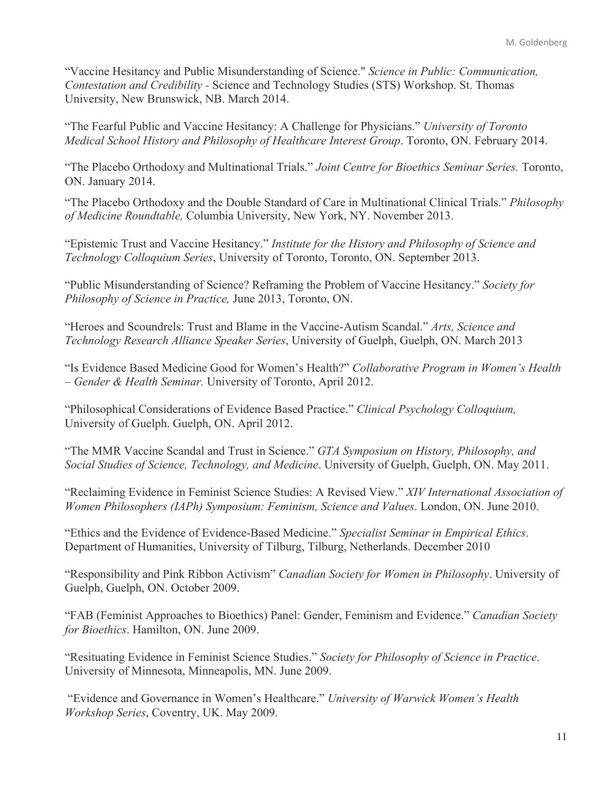"Vaccine Hesitancy and Public Misunderstanding of Science." *Science in Public: Communication, Contestation and Credibility -* Science and Technology Studies (STS) Workshop. St. Thomas University, New Brunswick, NB. March 2014.

"The Fearful Public and Vaccine Hesitancy: A Challenge for Physicians." *University of Toronto Medical School History and Philosophy of Healthcare Interest Group*. Toronto, ON. February 2014.

"The Placebo Orthodoxy and Multinational Trials." *Joint Centre for Bioethics Seminar Series.* Toronto, ON. January 2014.

"The Placebo Orthodoxy and the Double Standard of Care in Multinational Clinical Trials." *Philosophy of Medicine Roundtable,* Columbia University, New York, NY. November 2013.

"Epistemic Trust and Vaccine Hesitancy." *Institute for the History and Philosophy of Science and Technology Colloquium Series*, University of Toronto, Toronto, ON. September 2013.

"Public Misunderstanding of Science? Reframing the Problem of Vaccine Hesitancy." *Society for Philosophy of Science in Practice,* June 2013, Toronto, ON.

"Heroes and Scoundrels: Trust and Blame in the Vaccine-Autism Scandal." *Arts, Science and Technology Research Alliance Speaker Series*, University of Guelph, Guelph, ON. March 2013

"Is Evidence Based Medicine Good for Women's Health?" *Collaborative Program in Women's Health – Gender & Health Seminar.* University of Toronto, April 2012.

"Philosophical Considerations of Evidence Based Practice." *Clinical Psychology Colloquium,*  University of Guelph. Guelph, ON. April 2012.

"The MMR Vaccine Scandal and Trust in Science." *GTA Symposium on History, Philosophy, and Social Studies of Science, Technology, and Medicine*. University of Guelph, Guelph, ON. May 2011.

"Reclaiming Evidence in Feminist Science Studies: A Revised View." *XIV International Association of Women Philosophers (IAPh) Symposium: Feminism, Science and Values*. London, ON. June 2010.

"Ethics and the Evidence of Evidence-Based Medicine." *Specialist Seminar in Empirical Ethics*. Department of Humanities, University of Tilburg, Tilburg, Netherlands. December 2010

"Responsibility and Pink Ribbon Activism" *Canadian Society for Women in Philosophy*. University of Guelph, Guelph, ON. October 2009.

"FAB (Feminist Approaches to Bioethics) Panel: Gender, Feminism and Evidence." *Canadian Society for Bioethics*. Hamilton, ON. June 2009.

"Resituating Evidence in Feminist Science Studies." *Society for Philosophy of Science in Practice*. University of Minnesota, Minneapolis, MN. June 2009.

"Evidence and Governance in Women's Healthcare." *University of Warwick Women's Health Workshop Series*, Coventry, UK. May 2009.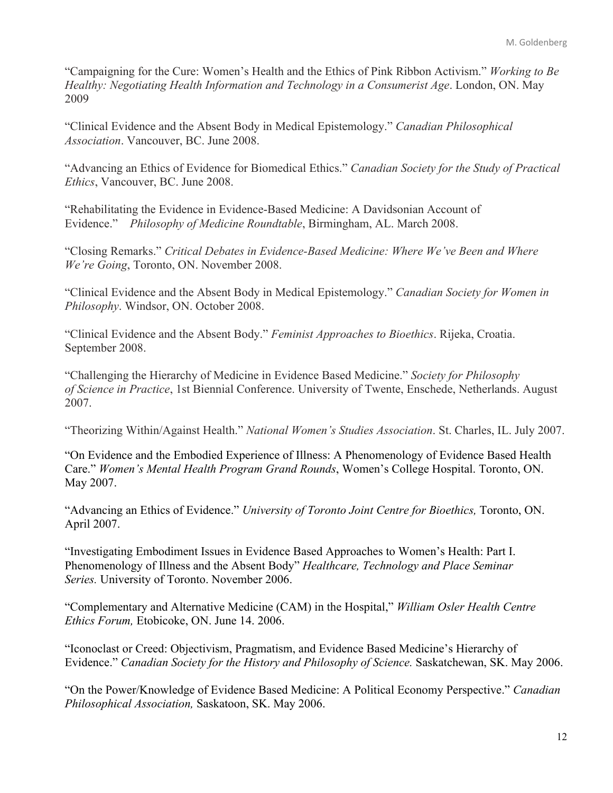"Campaigning for the Cure: Women's Health and the Ethics of Pink Ribbon Activism." *Working to Be Healthy: Negotiating Health Information and Technology in a Consumerist Age*. London, ON. May 2009

"Clinical Evidence and the Absent Body in Medical Epistemology." *Canadian Philosophical Association*. Vancouver, BC. June 2008.

"Advancing an Ethics of Evidence for Biomedical Ethics." *Canadian Society for the Study of Practical Ethics*, Vancouver, BC. June 2008.

"Rehabilitating the Evidence in Evidence-Based Medicine: A Davidsonian Account of Evidence." *Philosophy of Medicine Roundtable*, Birmingham, AL. March 2008.

"Closing Remarks." *Critical Debates in Evidence-Based Medicine: Where We've Been and Where We're Going*, Toronto, ON. November 2008.

"Clinical Evidence and the Absent Body in Medical Epistemology." *Canadian Society for Women in Philosophy*. Windsor, ON. October 2008.

"Clinical Evidence and the Absent Body." *Feminist Approaches to Bioethics*. Rijeka, Croatia. September 2008.

"Challenging the Hierarchy of Medicine in Evidence Based Medicine." *Society for Philosophy of Science in Practice*, 1st Biennial Conference. University of Twente, Enschede, Netherlands. August 2007.

"Theorizing Within/Against Health." *National Women's Studies Association*. St. Charles, IL. July 2007.

"On Evidence and the Embodied Experience of Illness: A Phenomenology of Evidence Based Health Care." *Women's Mental Health Program Grand Rounds*, Women's College Hospital. Toronto, ON. May 2007.

"Advancing an Ethics of Evidence." *University of Toronto Joint Centre for Bioethics,* Toronto, ON. April 2007.

"Investigating Embodiment Issues in Evidence Based Approaches to Women's Health: Part I. Phenomenology of Illness and the Absent Body" *Healthcare, Technology and Place Seminar Series.* University of Toronto. November 2006.

"Complementary and Alternative Medicine (CAM) in the Hospital," *William Osler Health Centre Ethics Forum,* Etobicoke, ON. June 14. 2006.

"Iconoclast or Creed: Objectivism, Pragmatism, and Evidence Based Medicine's Hierarchy of Evidence." *Canadian Society for the History and Philosophy of Science.* Saskatchewan, SK. May 2006.

"On the Power/Knowledge of Evidence Based Medicine: A Political Economy Perspective." *Canadian Philosophical Association,* Saskatoon, SK. May 2006.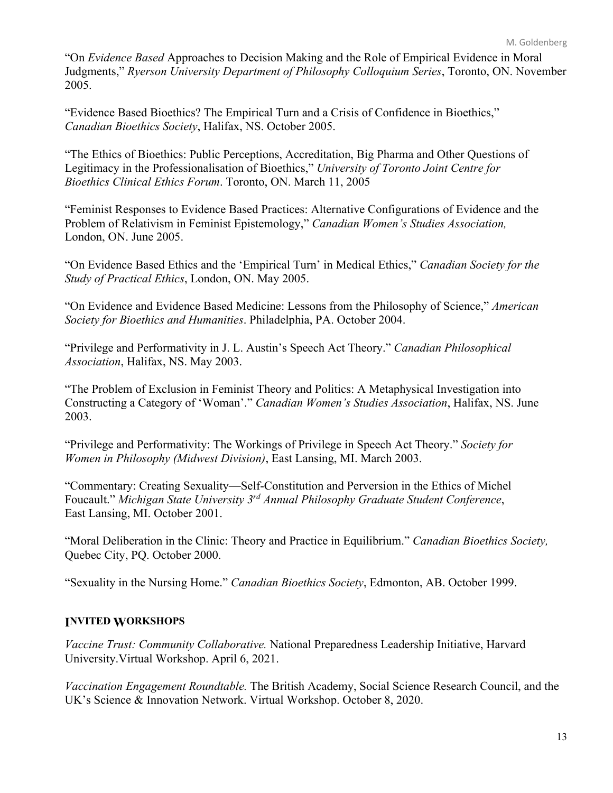"On *Evidence Based* Approaches to Decision Making and the Role of Empirical Evidence in Moral Judgments," *Ryerson University Department of Philosophy Colloquium Series*, Toronto, ON. November 2005.

"Evidence Based Bioethics? The Empirical Turn and a Crisis of Confidence in Bioethics," *Canadian Bioethics Society*, Halifax, NS. October 2005.

"The Ethics of Bioethics: Public Perceptions, Accreditation, Big Pharma and Other Questions of Legitimacy in the Professionalisation of Bioethics," *University of Toronto Joint Centre for Bioethics Clinical Ethics Forum*. Toronto, ON. March 11, 2005

"Feminist Responses to Evidence Based Practices: Alternative Configurations of Evidence and the Problem of Relativism in Feminist Epistemology," *Canadian Women's Studies Association,*  London, ON. June 2005.

"On Evidence Based Ethics and the 'Empirical Turn' in Medical Ethics," *Canadian Society for the Study of Practical Ethics*, London, ON. May 2005.

"On Evidence and Evidence Based Medicine: Lessons from the Philosophy of Science," *American Society for Bioethics and Humanities*. Philadelphia, PA. October 2004.

"Privilege and Performativity in J. L. Austin's Speech Act Theory." *Canadian Philosophical Association*, Halifax, NS. May 2003.

"The Problem of Exclusion in Feminist Theory and Politics: A Metaphysical Investigation into Constructing a Category of 'Woman'." *Canadian Women's Studies Association*, Halifax, NS. June 2003.

"Privilege and Performativity: The Workings of Privilege in Speech Act Theory." *Society for Women in Philosophy (Midwest Division)*, East Lansing, MI. March 2003.

"Commentary: Creating Sexuality—Self-Constitution and Perversion in the Ethics of Michel Foucault." *Michigan State University 3rd Annual Philosophy Graduate Student Conference*, East Lansing, MI. October 2001.

"Moral Deliberation in the Clinic: Theory and Practice in Equilibrium." *Canadian Bioethics Society,*  Quebec City, PQ. October 2000.

"Sexuality in the Nursing Home." *Canadian Bioethics Society*, Edmonton, AB. October 1999.

## **INVITED WORKSHOPS**

*Vaccine Trust: Community Collaborative.* National Preparedness Leadership Initiative, Harvard University.Virtual Workshop. April 6, 2021.

*Vaccination Engagement Roundtable.* The British Academy, Social Science Research Council, and the UK's Science & Innovation Network. Virtual Workshop. October 8, 2020.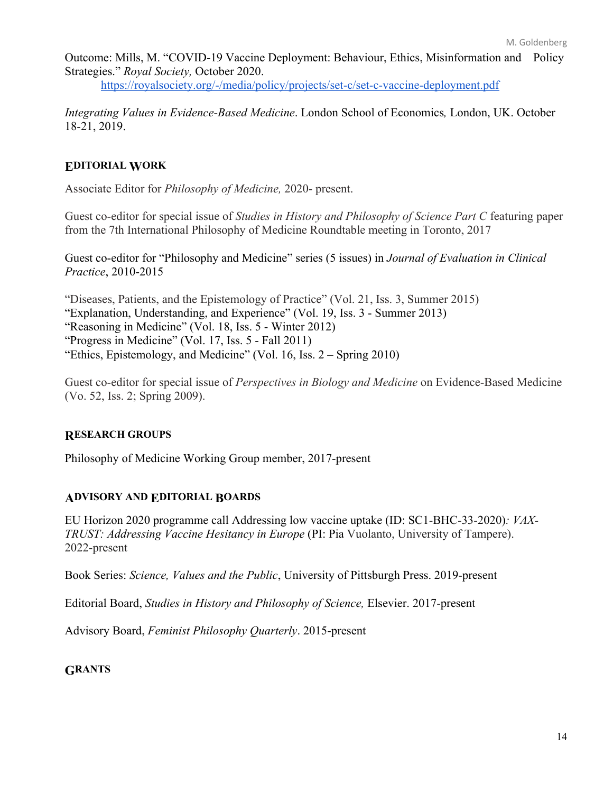Outcome: Mills, M. "COVID-19 Vaccine Deployment: Behaviour, Ethics, Misinformation and Policy Strategies." *Royal Society,* October 2020.

https://royalsociety.org/-/media/policy/projects/set-c/set-c-vaccine-deployment.pdf

*Integrating Values in Evidence-Based Medicine*. London School of Economics*,* London, UK. October 18-21, 2019.

### **EDITORIAL WORK**

Associate Editor for *Philosophy of Medicine,* 2020- present.

Guest co-editor for special issue of *Studies in History and Philosophy of Science Part C* featuring paper from the 7th International Philosophy of Medicine Roundtable meeting in Toronto, 2017

Guest co-editor for "Philosophy and Medicine" series (5 issues) in *Journal of Evaluation in Clinical Practice*, 2010-2015

"Diseases, Patients, and the Epistemology of Practice" (Vol. 21, Iss. 3, Summer 2015)

"Explanation, Understanding, and Experience" (Vol. 19, Iss. 3 - Summer 2013)

"Reasoning in Medicine" (Vol. 18, Iss. 5 - Winter 2012)

"Progress in Medicine" (Vol. 17, Iss. 5 - Fall 2011)

"Ethics, Epistemology, and Medicine" (Vol. 16, Iss. 2 – Spring 2010)

Guest co-editor for special issue of *Perspectives in Biology and Medicine* on Evidence-Based Medicine (Vo. 52, Iss. 2; Spring 2009).

### **RESEARCH GROUPS**

Philosophy of Medicine Working Group member, 2017-present

### **ADVISORY AND EDITORIAL BOARDS**

EU Horizon 2020 programme call Addressing low vaccine uptake (ID: SC1-BHC-33-2020)*: VAX-TRUST: Addressing Vaccine Hesitancy in Europe* (PI: Pia Vuolanto, University of Tampere). 2022-present

Book Series: *Science, Values and the Public*, University of Pittsburgh Press. 2019-present

Editorial Board, *Studies in History and Philosophy of Science,* Elsevier. 2017-present

Advisory Board, *Feminist Philosophy Quarterly*. 2015-present

### **GRANTS**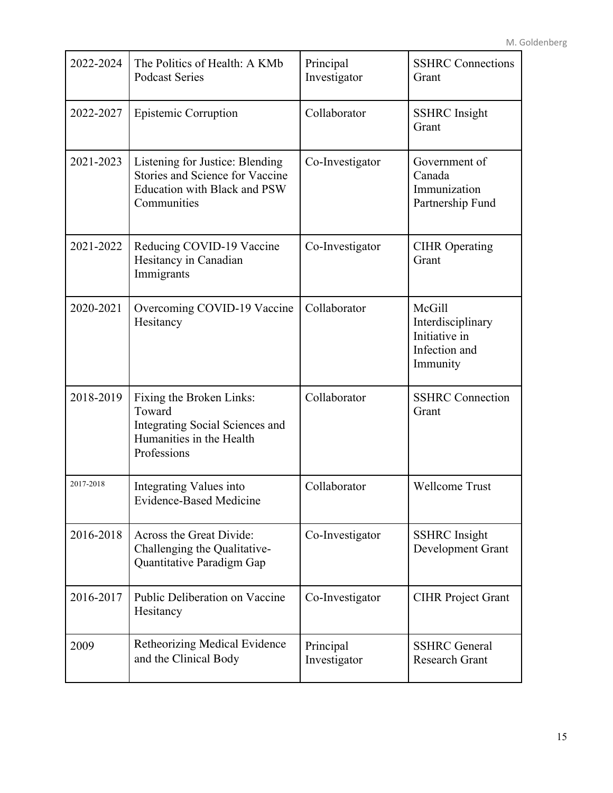| 2022-2024 | The Politics of Health: A KMb<br><b>Podcast Series</b>                                                                   | Principal<br>Investigator | <b>SSHRC</b> Connections<br>Grant                                         |
|-----------|--------------------------------------------------------------------------------------------------------------------------|---------------------------|---------------------------------------------------------------------------|
| 2022-2027 | Epistemic Corruption                                                                                                     | Collaborator              | <b>SSHRC</b> Insight<br>Grant                                             |
| 2021-2023 | Listening for Justice: Blending<br>Stories and Science for Vaccine<br><b>Education with Black and PSW</b><br>Communities | Co-Investigator           | Government of<br>Canada<br>Immunization<br>Partnership Fund               |
| 2021-2022 | Reducing COVID-19 Vaccine<br>Hesitancy in Canadian<br>Immigrants                                                         | Co-Investigator           | <b>CIHR</b> Operating<br>Grant                                            |
| 2020-2021 | Overcoming COVID-19 Vaccine<br>Hesitancy                                                                                 | Collaborator              | McGill<br>Interdisciplinary<br>Initiative in<br>Infection and<br>Immunity |
| 2018-2019 | Fixing the Broken Links:<br>Toward<br>Integrating Social Sciences and<br>Humanities in the Health<br>Professions         | Collaborator              | <b>SSHRC</b> Connection<br>Grant                                          |
| 2017-2018 | Integrating Values into<br><b>Evidence-Based Medicine</b>                                                                | Collaborator              | <b>Wellcome Trust</b>                                                     |
| 2016-2018 | Across the Great Divide:<br>Challenging the Qualitative-<br>Quantitative Paradigm Gap                                    | Co-Investigator           | <b>SSHRC</b> Insight<br>Development Grant                                 |
| 2016-2017 | Public Deliberation on Vaccine<br>Hesitancy                                                                              | Co-Investigator           | <b>CIHR Project Grant</b>                                                 |
| 2009      | Retheorizing Medical Evidence<br>and the Clinical Body                                                                   | Principal<br>Investigator | <b>SSHRC</b> General<br>Research Grant                                    |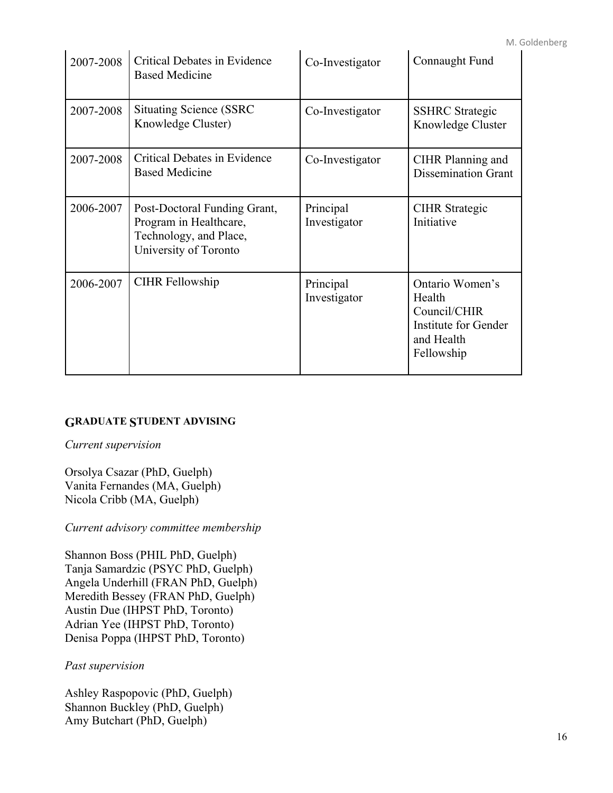| 2007-2008 | <b>Critical Debates in Evidence</b><br><b>Based Medicine</b>                                              | Co-Investigator           | Connaught Fund                                                                                |
|-----------|-----------------------------------------------------------------------------------------------------------|---------------------------|-----------------------------------------------------------------------------------------------|
| 2007-2008 | <b>Situating Science (SSRC)</b><br>Knowledge Cluster)                                                     | Co-Investigator           | <b>SSHRC</b> Strategic<br>Knowledge Cluster                                                   |
| 2007-2008 | Critical Debates in Evidence<br><b>Based Medicine</b>                                                     | Co-Investigator           | CIHR Planning and<br><b>Dissemination Grant</b>                                               |
| 2006-2007 | Post-Doctoral Funding Grant,<br>Program in Healthcare,<br>Technology, and Place,<br>University of Toronto | Principal<br>Investigator | <b>CIHR</b> Strategic<br>Initiative                                                           |
| 2006-2007 | <b>CIHR Fellowship</b>                                                                                    | Principal<br>Investigator | Ontario Women's<br>Health<br>Council/CHIR<br>Institute for Gender<br>and Health<br>Fellowship |

## **GRADUATE STUDENT ADVISING**

*Current supervision*

Orsolya Csazar (PhD, Guelph) Vanita Fernandes (MA, Guelph) Nicola Cribb (MA, Guelph)

*Current advisory committee membership*

Shannon Boss (PHIL PhD, Guelph) Tanja Samardzic (PSYC PhD, Guelph) Angela Underhill (FRAN PhD, Guelph) Meredith Bessey (FRAN PhD, Guelph) Austin Due (IHPST PhD, Toronto) Adrian Yee (IHPST PhD, Toronto) Denisa Poppa (IHPST PhD, Toronto)

### *Past supervision*

Ashley Raspopovic (PhD, Guelph) Shannon Buckley (PhD, Guelph) Amy Butchart (PhD, Guelph)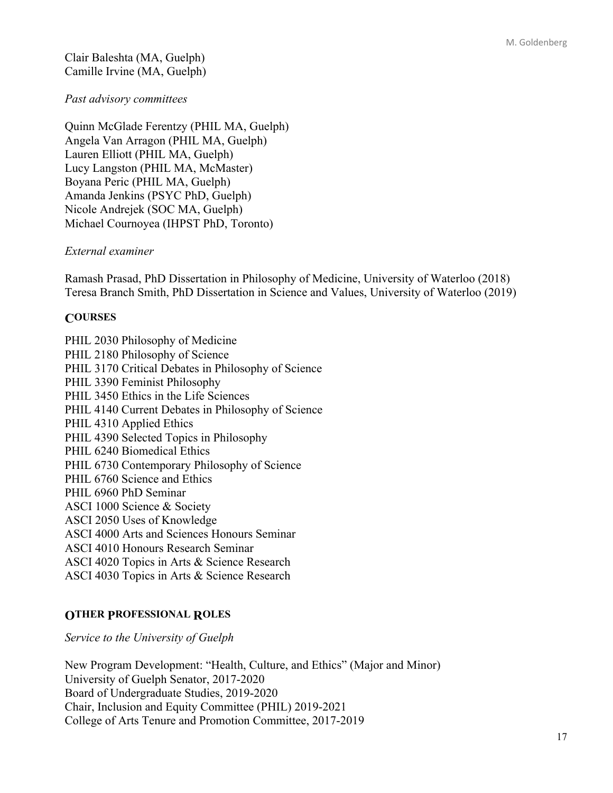Clair Baleshta (MA, Guelph) Camille Irvine (MA, Guelph)

## *Past advisory committees*

Quinn McGlade Ferentzy (PHIL MA, Guelph) Angela Van Arragon (PHIL MA, Guelph) Lauren Elliott (PHIL MA, Guelph) Lucy Langston (PHIL MA, McMaster) Boyana Peric (PHIL MA, Guelph) Amanda Jenkins (PSYC PhD, Guelph) Nicole Andrejek (SOC MA, Guelph) Michael Cournoyea (IHPST PhD, Toronto)

## *External examiner*

Ramash Prasad, PhD Dissertation in Philosophy of Medicine, University of Waterloo (2018) Teresa Branch Smith, PhD Dissertation in Science and Values, University of Waterloo (2019)

# **COURSES**

PHIL 2030 Philosophy of Medicine PHIL 2180 Philosophy of Science PHIL 3170 Critical Debates in Philosophy of Science PHIL 3390 Feminist Philosophy PHIL 3450 Ethics in the Life Sciences PHIL 4140 Current Debates in Philosophy of Science PHIL 4310 Applied Ethics PHIL 4390 Selected Topics in Philosophy PHIL 6240 Biomedical Ethics PHIL 6730 Contemporary Philosophy of Science PHIL 6760 Science and Ethics PHIL 6960 PhD Seminar ASCI 1000 Science & Society ASCI 2050 Uses of Knowledge ASCI 4000 Arts and Sciences Honours Seminar ASCI 4010 Honours Research Seminar ASCI 4020 Topics in Arts & Science Research ASCI 4030 Topics in Arts & Science Research

# **OTHER PROFESSIONAL ROLES**

*Service to the University of Guelph*

New Program Development: "Health, Culture, and Ethics" (Major and Minor) University of Guelph Senator, 2017-2020 Board of Undergraduate Studies, 2019-2020 Chair, Inclusion and Equity Committee (PHIL) 2019-2021 College of Arts Tenure and Promotion Committee, 2017-2019